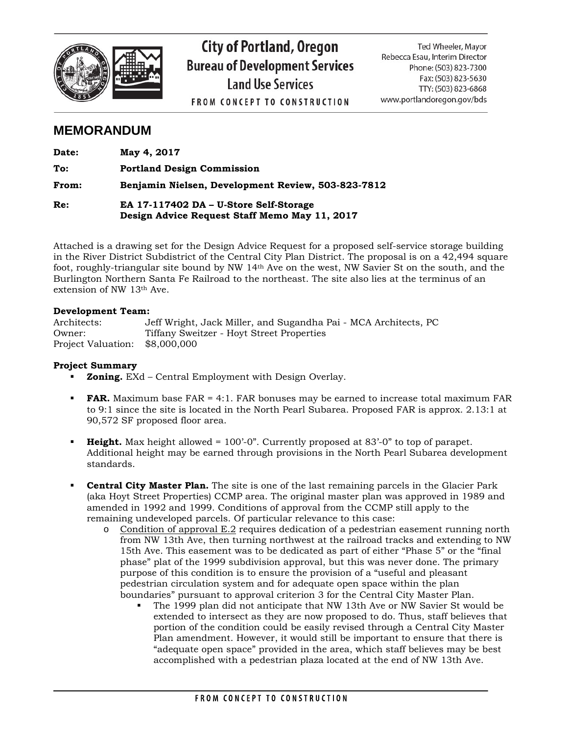

# **City of Portland, Oregon Bureau of Development Services Land Use Services**

**FROM CONCEPT TO CONSTRUCTION** 

Ted Wheeler, Mayor Rebecca Esau, Interim Director Phone: (503) 823-7300 Fax: (503) 823-5630 TTY: (503) 823-6868 www.portlandoregon.gov/bds

# **MEMORANDUM**

| Date: | May 4, 2017                                                                             |
|-------|-----------------------------------------------------------------------------------------|
| To:   | <b>Portland Design Commission</b>                                                       |
| From: | Benjamin Nielsen, Development Review, 503-823-7812                                      |
| Re:   | EA 17-117402 DA - U-Store Self-Storage<br>Design Advice Request Staff Memo May 11, 2017 |

Attached is a drawing set for the Design Advice Request for a proposed self-service storage building in the River District Subdistrict of the Central City Plan District. The proposal is on a 42,494 square foot, roughly-triangular site bound by NW 14th Ave on the west, NW Savier St on the south, and the Burlington Northern Santa Fe Railroad to the northeast. The site also lies at the terminus of an extension of NW 13th Ave.

#### **Development Team:**

| Architects:        | Jeff Wright, Jack Miller, and Sugandha Pai - MCA Architects, PC |
|--------------------|-----------------------------------------------------------------|
| Owner:             | Tiffany Sweitzer - Hovt Street Properties                       |
| Project Valuation: | \$8,000,000                                                     |

### **Project Summary**

- **Zoning.** EXd Central Employment with Design Overlay.
- **FAR.** Maximum base FAR = 4:1. FAR bonuses may be earned to increase total maximum FAR to 9:1 since the site is located in the North Pearl Subarea. Proposed FAR is approx. 2.13:1 at 90,572 SF proposed floor area.
- **Height.** Max height allowed = 100'-0". Currently proposed at 83'-0" to top of parapet. Additional height may be earned through provisions in the North Pearl Subarea development standards.
- **Central City Master Plan.** The site is one of the last remaining parcels in the Glacier Park (aka Hoyt Street Properties) CCMP area. The original master plan was approved in 1989 and amended in 1992 and 1999. Conditions of approval from the CCMP still apply to the remaining undeveloped parcels. Of particular relevance to this case:
	- o Condition of approval E.2 requires dedication of a pedestrian easement running north from NW 13th Ave, then turning northwest at the railroad tracks and extending to NW 15th Ave. This easement was to be dedicated as part of either "Phase 5" or the "final phase" plat of the 1999 subdivision approval, but this was never done. The primary purpose of this condition is to ensure the provision of a "useful and pleasant pedestrian circulation system and for adequate open space within the plan boundaries" pursuant to approval criterion 3 for the Central City Master Plan.
		- The 1999 plan did not anticipate that NW 13th Ave or NW Savier St would be extended to intersect as they are now proposed to do. Thus, staff believes that portion of the condition could be easily revised through a Central City Master Plan amendment. However, it would still be important to ensure that there is "adequate open space" provided in the area, which staff believes may be best accomplished with a pedestrian plaza located at the end of NW 13th Ave.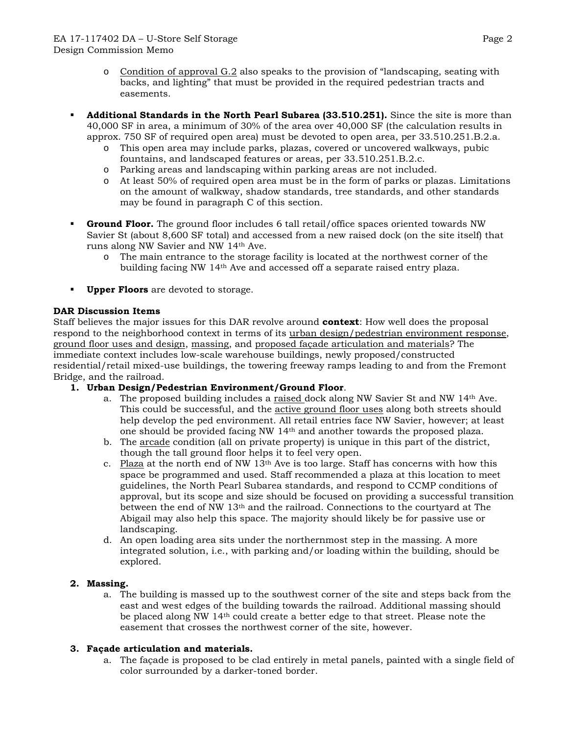- o Condition of approval G.2 also speaks to the provision of "landscaping, seating with backs, and lighting" that must be provided in the required pedestrian tracts and easements.
- **Additional Standards in the North Pearl Subarea (33.510.251).** Since the site is more than 40,000 SF in area, a minimum of 30% of the area over 40,000 SF (the calculation results in approx. 750 SF of required open area) must be devoted to open area, per 33.510.251.B.2.a.
	- o This open area may include parks, plazas, covered or uncovered walkways, pubic fountains, and landscaped features or areas, per 33.510.251.B.2.c.
	- o Parking areas and landscaping within parking areas are not included.
	- o At least 50% of required open area must be in the form of parks or plazas. Limitations on the amount of walkway, shadow standards, tree standards, and other standards may be found in paragraph C of this section.
- **Ground Floor.** The ground floor includes 6 tall retail/office spaces oriented towards NW Savier St (about 8,600 SF total) and accessed from a new raised dock (on the site itself) that runs along NW Savier and NW 14th Ave.
	- o The main entrance to the storage facility is located at the northwest corner of the building facing NW 14th Ave and accessed off a separate raised entry plaza.
- **Upper Floors** are devoted to storage.

# **DAR Discussion Items**

Staff believes the major issues for this DAR revolve around **context**: How well does the proposal respond to the neighborhood context in terms of its urban design/pedestrian environment response, ground floor uses and design, massing, and proposed façade articulation and materials? The immediate context includes low-scale warehouse buildings, newly proposed/constructed residential/retail mixed-use buildings, the towering freeway ramps leading to and from the Fremont Bridge, and the railroad.

# **1. Urban Design/Pedestrian Environment/Ground Floor**.

- a. The proposed building includes a raised dock along NW Savier St and NW 14th Ave. This could be successful, and the active ground floor uses along both streets should help develop the ped environment. All retail entries face NW Savier, however; at least one should be provided facing NW 14th and another towards the proposed plaza.
- b. The arcade condition (all on private property) is unique in this part of the district, though the tall ground floor helps it to feel very open.
- c. Plaza at the north end of NW  $13<sup>th</sup>$  Ave is too large. Staff has concerns with how this space be programmed and used. Staff recommended a plaza at this location to meet guidelines, the North Pearl Subarea standards, and respond to CCMP conditions of approval, but its scope and size should be focused on providing a successful transition between the end of NW 13th and the railroad. Connections to the courtyard at The Abigail may also help this space. The majority should likely be for passive use or landscaping.
- d. An open loading area sits under the northernmost step in the massing. A more integrated solution, i.e., with parking and/or loading within the building, should be explored.

# **2. Massing.**

a. The building is massed up to the southwest corner of the site and steps back from the east and west edges of the building towards the railroad. Additional massing should be placed along NW 14th could create a better edge to that street. Please note the easement that crosses the northwest corner of the site, however.

# **3. Façade articulation and materials.**

a. The façade is proposed to be clad entirely in metal panels, painted with a single field of color surrounded by a darker-toned border.